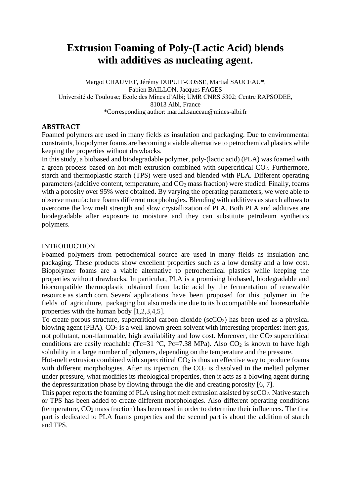# **Extrusion Foaming of Poly-(Lactic Acid) blends with additives as nucleating agent.**

Margot CHAUVET, Jérémy DUPUIT-COSSE, Martial SAUCEAU\*, Fabien BAILLON, Jacques FAGES Université de Toulouse; Ecole des Mines d'Albi; UMR CNRS 5302; Centre RAPSODEE, 81013 Albi, France \*Corresponding author: martial.sauceau@mines-albi.fr

# **ABSTRACT**

Foamed polymers are used in many fields as insulation and packaging. Due to environmental constraints, biopolymer foams are becoming a viable alternative to petrochemical plastics while keeping the properties without drawbacks.

In this study, a biobased and biodegradable polymer, poly-(lactic acid) (PLA) was foamed with a green process based on hot-melt extrusion combined with supercritical CO<sub>2</sub>. Furthermore, starch and thermoplastic starch (TPS) were used and blended with PLA. Different operating parameters (additive content, temperature, and  $CO<sub>2</sub>$  mass fraction) were studied. Finally, foams with a porosity over 95% were obtained. By varying the operating parameters, we were able to observe manufacture foams different morphologies. Blending with additives as starch allows to overcome the low melt strength and slow crystallization of PLA. Both PLA and additives are biodegradable after exposure to moisture and they can substitute petroleum synthetics polymers.

## INTRODUCTION

Foamed polymers from petrochemical source are used in many fields as insulation and packaging. These products show excellent properties such as a low density and a low cost. Biopolymer foams are a viable alternative to petrochemical plastics while keeping the properties without drawbacks. In particular, PLA is a promising biobased, biodegradable and biocompatible thermoplastic obtained from lactic acid by the fermentation of renewable resource as starch corn. Several applications have been proposed for this polymer in the fields of agriculture, packaging but also medicine due to its biocompatible and bioresorbable properties with the human body [1,2,3,4,5].

To create porous structure, supercritical carbon dioxide ( $\sec O_2$ ) has been used as a physical blowing agent (PBA).  $CO<sub>2</sub>$  is a well-known green solvent with interesting properties: inert gas, not pollutant, non-flammable, high availability and low cost. Moreover, the  $CO<sub>2</sub>$  supercritical conditions are easily reachable (Tc=31  $\degree$ C, Pc=7.38 MPa). Also CO<sub>2</sub> is known to have high solubility in a large number of polymers, depending on the temperature and the pressure.

Hot-melt extrusion combined with supercritical  $CO<sub>2</sub>$  is thus an effective way to produce foams with different morphologies. After its injection, the  $CO<sub>2</sub>$  is dissolved in the melted polymer under pressure, what modifies its rheological properties, then it acts as a blowing agent during the depressurization phase by flowing through the die and creating porosity [6, 7].

This paper reports the foaming of PLA using hot melt extrusion assisted by  $\text{scCO}_2$ . Native starch or TPS has been added to create different morphologies. Also different operating conditions (temperature,  $CO<sub>2</sub>$  mass fraction) has been used in order to determine their influences. The first part is dedicated to PLA foams properties and the second part is about the addition of starch and TPS.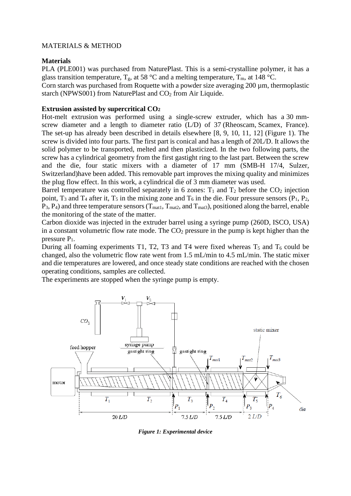# MATERIALS & METHOD

## **Materials**

PLA (PLE001) was purchased from NaturePlast. This is a semi-crystalline polymer, it has a glass transition temperature,  $T_g$ , at 58 °C and a melting temperature,  $T_m$ , at 148 °C.

Corn starch was purchased from Roquette with a powder size averaging 200 µm, thermoplastic starch (NPWS001) from NaturePlast and CO<sub>2</sub> from Air Liquide.

# **Extrusion assisted by supercritical CO<sup>2</sup>**

Hot-melt extrusion was performed using a single-screw extruder, which has a 30 mmscrew diameter and a length to diameter ratio (L/D) of 37 (Rheoscam, Scamex, France). The set-up has already been described in details elsewhere [8, 9, 10, 11, 12] (Figure 1). The screw is divided into four parts. The first part is conical and has a length of 20L/D. It allows the solid polymer to be transported, melted and then plasticized. In the two following parts, the screw has a cylindrical geometry from the first gastight ring to the last part. Between the screw and the die, four static mixers with a diameter of 17 mm (SMB-H 17/4, Sulzer, Switzerland)have been added. This removable part improves the mixing quality and minimizes the plug flow effect. In this work, a cylindrical die of 3 mm diameter was used.

Barrel temperature was controlled separately in 6 zones:  $T_1$  and  $T_2$  before the  $CO_2$  injection point,  $T_3$  and  $T_4$  after it,  $T_5$  in the mixing zone and  $T_6$  in the die. Four pressure sensors (P<sub>1</sub>, P<sub>2</sub>,  $P_3$ ,  $P_4$ ) and three temperature sensors ( $T_{\text{mat1}}$ ,  $T_{\text{mat2}}$ , and  $T_{\text{mat3}}$ ), positioned along the barrel, enable the monitoring of the state of the matter.

Carbon dioxide was injected in the extruder barrel using a syringe pump (260D, ISCO, USA) in a constant volumetric flow rate mode. The  $CO<sub>2</sub>$  pressure in the pump is kept higher than the pressure P1.

During all foaming experiments T1, T2, T3 and T4 were fixed whereas  $T_5$  and  $T_6$  could be changed, also the volumetric flow rate went from 1.5 mL/min to 4.5 mL/min. The static mixer and die temperatures are lowered, and once steady state conditions are reached with the chosen operating conditions, samples are collected.

The experiments are stopped when the syringe pump is empty.



*Figure 1: Experimental device*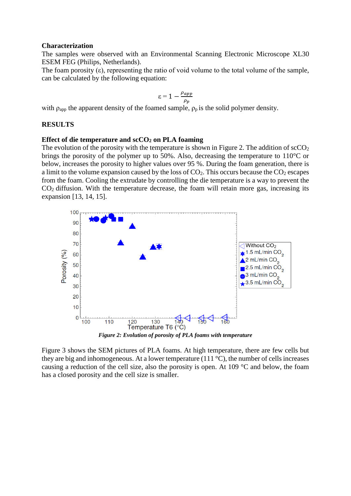#### **Characterization**

The samples were observed with an Environmental Scanning Electronic Microscope XL30 ESEM FEG (Philips, Netherlands).

The foam porosity  $(\varepsilon)$ , representing the ratio of void volume to the total volume of the sample, can be calculated by the following equation:

$$
\varepsilon = 1 - \frac{\rho_{app}}{\rho_p}
$$

with  $\rho_{\text{apo}}$  the apparent density of the foamed sample,  $\rho_p$  is the solid polymer density.

#### **RESULTS**

## **Effect of die temperature and scCO<sup>2</sup> on PLA foaming**

The evolution of the porosity with the temperature is shown in Figure 2. The addition of  $\sec O_2$ brings the porosity of the polymer up to 50%. Also, decreasing the temperature to 110°C or below, increases the porosity to higher values over 95 %. During the foam generation, there is a limit to the volume expansion caused by the loss of  $CO<sub>2</sub>$ . This occurs because the  $CO<sub>2</sub>$  escapes from the foam. Cooling the extrudate by controlling the die temperature is a way to prevent the  $CO<sub>2</sub>$  diffusion. With the temperature decrease, the foam will retain more gas, increasing its expansion [13, 14, 15].



Figure 3 shows the SEM pictures of PLA foams. At high temperature, there are few cells but they are big and inhomogeneous. At a lower temperature (111 $^{\circ}$ C), the number of cells increases causing a reduction of the cell size, also the porosity is open. At 109 °C and below, the foam has a closed porosity and the cell size is smaller.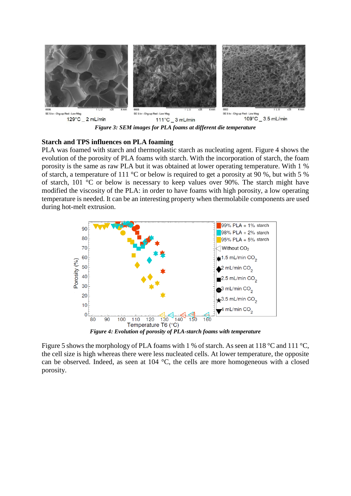

*Figure 3: SEM images for PLA foams at different die temperature*

## **Starch and TPS influences on PLA foaming**

PLA was foamed with starch and thermoplastic starch as nucleating agent. Figure 4 shows the evolution of the porosity of PLA foams with starch. With the incorporation of starch, the foam porosity is the same as raw PLA but it was obtained at lower operating temperature. With 1 % of starch, a temperature of 111 °C or below is required to get a porosity at 90 %, but with 5 % of starch, 101 °C or below is necessary to keep values over 90%. The starch might have modified the viscosity of the PLA: in order to have foams with high porosity, a low operating temperature is needed. It can be an interesting property when thermolabile components are used during hot-melt extrusion.



Figure 5 shows the morphology of PLA foams with 1 % of starch. As seen at 118 °C and 111 °C, the cell size is high whereas there were less nucleated cells. At lower temperature, the opposite

can be observed. Indeed, as seen at 104 °C, the cells are more homogeneous with a closed porosity.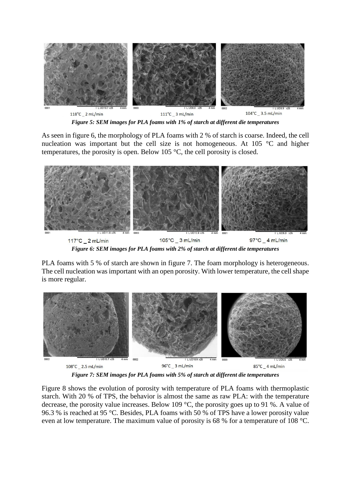

*Figure 5: SEM images for PLA foams with 1% of starch at different die temperatures*

As seen in figure 6, the morphology of PLA foams with 2 % of starch is coarse. Indeed, the cell nucleation was important but the cell size is not homogeneous. At 105 °C and higher temperatures, the porosity is open. Below 105 °C, the cell porosity is closed.



*Figure 6: SEM images for PLA foams with 2% of starch at different die temperatures*

PLA foams with 5 % of starch are shown in figure 7. The foam morphology is heterogeneous. The cell nucleation was important with an open porosity. With lower temperature, the cell shape is more regular.



*Figure 7: SEM images for PLA foams with 5% of starch at different die temperatures*

Figure 8 shows the evolution of porosity with temperature of PLA foams with thermoplastic starch. With 20 % of TPS, the behavior is almost the same as raw PLA: with the temperature decrease, the porosity value increases. Below 109 °C, the porosity goes up to 91 %. A value of 96.3 % is reached at 95 °C. Besides, PLA foams with 50 % of TPS have a lower porosity value even at low temperature. The maximum value of porosity is 68 % for a temperature of 108 °C.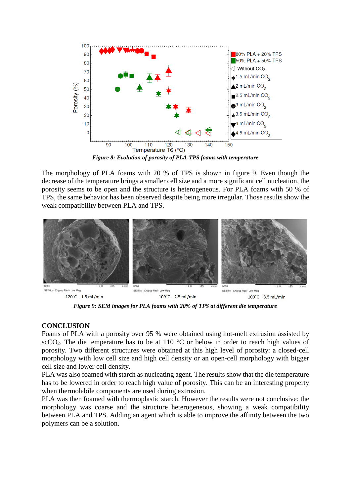

*Figure 8: Evolution of porosity of PLA-TPS foams with temperature*

The morphology of PLA foams with 20 % of TPS is shown in figure 9. Even though the decrease of the temperature brings a smaller cell size and a more significant cell nucleation, the porosity seems to be open and the structure is heterogeneous. For PLA foams with 50 % of TPS, the same behavior has been observed despite being more irregular. Those results show the weak compatibility between PLA and TPS.



*Figure 9: SEM images for PLA foams with 20% of TPS at different die temperature*

# **CONCLUSION**

Foams of PLA with a porosity over 95 % were obtained using hot-melt extrusion assisted by scCO<sub>2</sub>. The die temperature has to be at 110  $\degree$ C or below in order to reach high values of porosity. Two different structures were obtained at this high level of porosity: a closed-cell morphology with low cell size and high cell density or an open-cell morphology with bigger cell size and lower cell density.

PLA was also foamed with starch as nucleating agent. The results show that the die temperature has to be lowered in order to reach high value of porosity. This can be an interesting property when thermolabile components are used during extrusion.

PLA was then foamed with thermoplastic starch. However the results were not conclusive: the morphology was coarse and the structure heterogeneous, showing a weak compatibility between PLA and TPS. Adding an agent which is able to improve the affinity between the two polymers can be a solution.